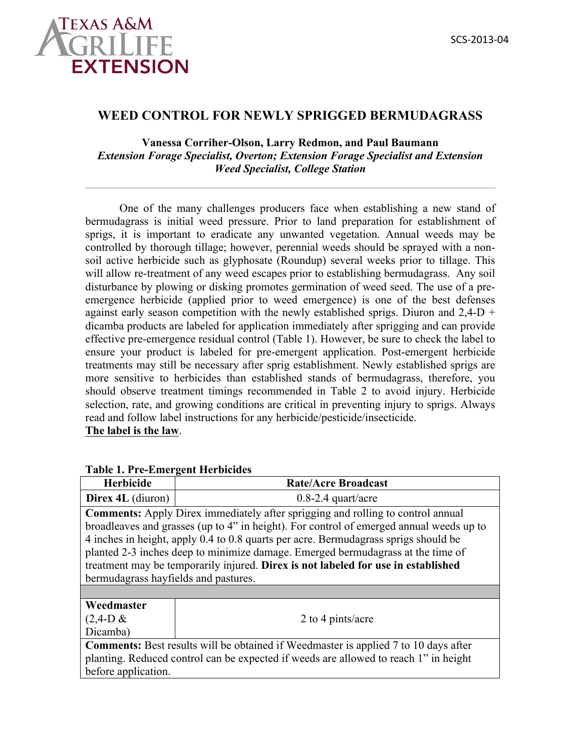

## **WEED CONTROL FOR NEWLY SPRIGGED BERMUDAGRASS**

## **Vanessa Corriher-Olson, Larry Redmon, and Paul Baumann** *Extension Forage Specialist, Overton; Extension Forage Specialist and Extension Weed Specialist, College Station*

One of the many challenges producers face when establishing a new stand of bermudagrass is initial weed pressure. Prior to land preparation for establishment of sprigs, it is important to eradicate any unwanted vegetation. Annual weeds may be controlled by thorough tillage; however, perennial weeds should be sprayed with a nonsoil active herbicide such as glyphosate (Roundup) several weeks prior to tillage. This will allow re-treatment of any weed escapes prior to establishing bermudagrass. Any soil disturbance by plowing or disking promotes germination of weed seed. The use of a preemergence herbicide (applied prior to weed emergence) is one of the best defenses against early season competition with the newly established sprigs. Diuron and  $2,4-D +$ dicamba products are labeled for application immediately after sprigging and can provide effective pre-emergence residual control (Table 1). However, be sure to check the label to ensure your product is labeled for pre-emergent application. Post-emergent herbicide treatments may still be necessary after sprig establishment. Newly established sprigs are more sensitive to herbicides than established stands of bermudagrass, therefore, you should observe treatment timings recommended in Table 2 to avoid injury. Herbicide selection, rate, and growing conditions are critical in preventing injury to sprigs. Always read and follow label instructions for any herbicide/pesticide/insecticide.

**The label is the law**.

| T abit 1. I TC-Emiti gent fitti bitides                                                                                                                                                                                                                                                                                                                                                                                                                                                  |                            |  |
|------------------------------------------------------------------------------------------------------------------------------------------------------------------------------------------------------------------------------------------------------------------------------------------------------------------------------------------------------------------------------------------------------------------------------------------------------------------------------------------|----------------------------|--|
| <b>Herbicide</b>                                                                                                                                                                                                                                                                                                                                                                                                                                                                         | <b>Rate/Acre Broadcast</b> |  |
| Direx 4L (diuron)                                                                                                                                                                                                                                                                                                                                                                                                                                                                        | $0.8-2.4$ quart/acre       |  |
| <b>Comments:</b> Apply Direx immediately after sprigging and rolling to control annual<br>broadleaves and grasses (up to 4" in height). For control of emerged annual weeds up to<br>4 inches in height, apply 0.4 to 0.8 quarts per acre. Bermudagrass sprigs should be<br>planted 2-3 inches deep to minimize damage. Emerged bermudagrass at the time of<br>treatment may be temporarily injured. Direx is not labeled for use in established<br>bermudagrass hayfields and pastures. |                            |  |
|                                                                                                                                                                                                                                                                                                                                                                                                                                                                                          |                            |  |
| Weedmaster<br>$(2,4-D \& )$<br>Dicamba)                                                                                                                                                                                                                                                                                                                                                                                                                                                  | 2 to 4 pints/acre          |  |
| <b>Comments:</b> Best results will be obtained if Weedmaster is applied 7 to 10 days after                                                                                                                                                                                                                                                                                                                                                                                               |                            |  |
| planting. Reduced control can be expected if weeds are allowed to reach 1" in height<br>before application.                                                                                                                                                                                                                                                                                                                                                                              |                            |  |

## **Table 1. Pre-Emergent Herbicides**